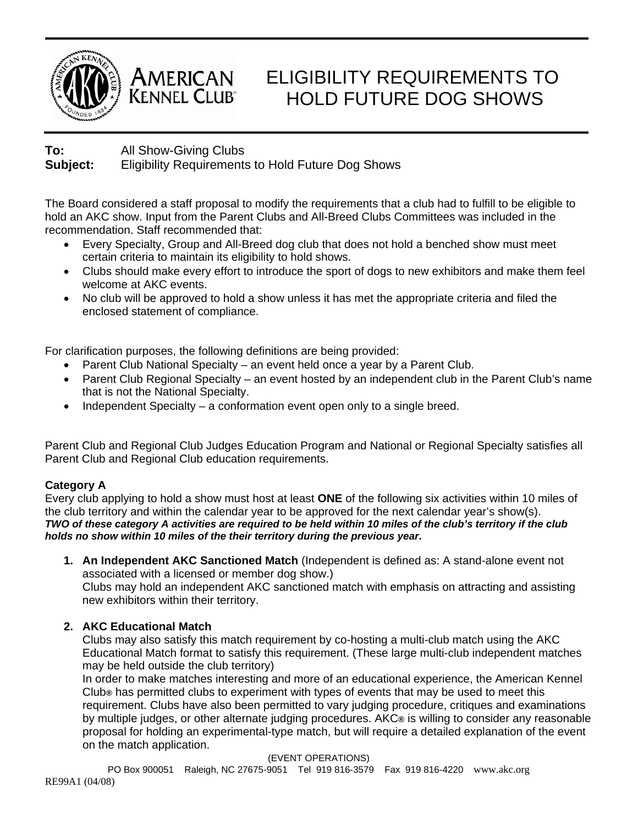



# ELIGIBILITY REQUIREMENTS TO HOLD FUTURE DOG SHOWS

# **To:** All Show-Giving Clubs **Subject:** Eligibility Requirements to Hold Future Dog Shows

The Board considered a staff proposal to modify the requirements that a club had to fulfill to be eligible to hold an AKC show. Input from the Parent Clubs and All-Breed Clubs Committees was included in the recommendation. Staff recommended that:

- Every Specialty, Group and All-Breed dog club that does not hold a benched show must meet certain criteria to maintain its eligibility to hold shows.
- Clubs should make every effort to introduce the sport of dogs to new exhibitors and make them feel welcome at AKC events.
- No club will be approved to hold a show unless it has met the appropriate criteria and filed the enclosed statement of compliance.

For clarification purposes, the following definitions are being provided:

- Parent Club National Specialty an event held once a year by a Parent Club.
- Parent Club Regional Specialty an event hosted by an independent club in the Parent Club's name that is not the National Specialty.
- Independent Specialty a conformation event open only to a single breed.

Parent Club and Regional Club Judges Education Program and National or Regional Specialty satisfies all Parent Club and Regional Club education requirements.

### **Category A**

Every club applying to hold a show must host at least **ONE** of the following six activities within 10 miles of the club territory and within the calendar year to be approved for the next calendar year's show(s). *TWO of these category A activities are required to be held within 10 miles of the club's territory if the club holds no show within 10 miles of the their territory during the previous year***.** 

**1. An Independent AKC Sanctioned Match** (Independent is defined as: A stand-alone event not associated with a licensed or member dog show.)

Clubs may hold an independent AKC sanctioned match with emphasis on attracting and assisting new exhibitors within their territory.

# **2. AKC Educational Match**

Clubs may also satisfy this match requirement by co-hosting a multi-club match using the AKC Educational Match format to satisfy this requirement. (These large multi-club independent matches may be held outside the club territory)

In order to make matches interesting and more of an educational experience, the American Kennel Club**®** has permitted clubs to experiment with types of events that may be used to meet this requirement. Clubs have also been permitted to vary judging procedure, critiques and examinations by multiple judges, or other alternate judging procedures. AKC**®** is willing to consider any reasonable proposal for holding an experimental-type match, but will require a detailed explanation of the event on the match application.

(EVENT OPERATIONS)

PO Box 900051 Raleigh, NC 27675-9051 Tel 919 816-3579 Fax 919 816-4220 www.akc.org RE99A1 (04/08)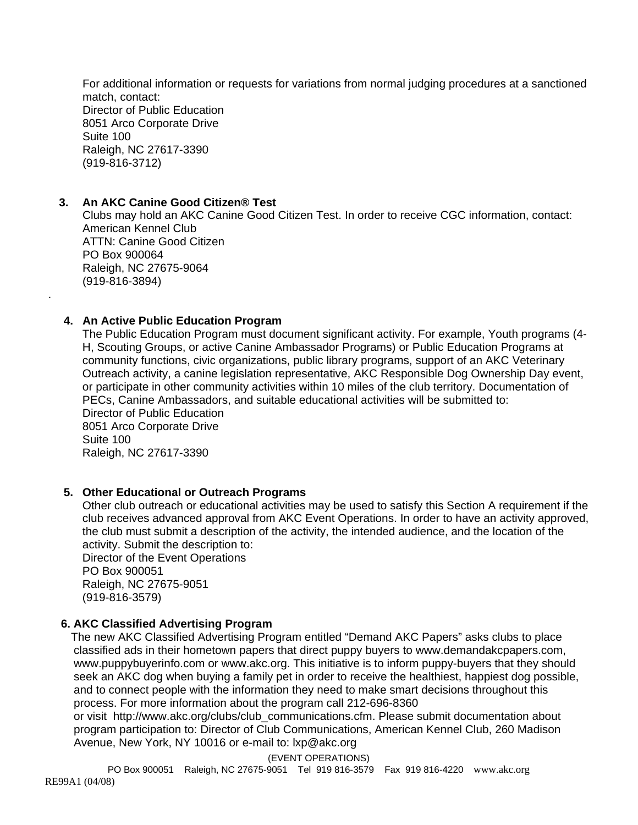For additional information or requests for variations from normal judging procedures at a sanctioned match, contact: Director of Public Education 8051 Arco Corporate Drive Suite 100 Raleigh, NC 27617-3390 (919-816-3712)

#### **3. An AKC Canine Good Citizen® Test**

Clubs may hold an AKC Canine Good Citizen Test. In order to receive CGC information, contact: American Kennel Club ATTN: Canine Good Citizen PO Box 900064 Raleigh, NC 27675-9064 (919-816-3894)

#### **4. An Active Public Education Program**

.

The Public Education Program must document significant activity. For example, Youth programs (4- H, Scouting Groups, or active Canine Ambassador Programs) or Public Education Programs at community functions, civic organizations, public library programs, support of an AKC Veterinary Outreach activity, a canine legislation representative, AKC Responsible Dog Ownership Day event, or participate in other community activities within 10 miles of the club territory. Documentation of PECs, Canine Ambassadors, and suitable educational activities will be submitted to: Director of Public Education 8051 Arco Corporate Drive Suite 100 Raleigh, NC 27617-3390

#### **5. Other Educational or Outreach Programs**

Other club outreach or educational activities may be used to satisfy this Section A requirement if the club receives advanced approval from AKC Event Operations. In order to have an activity approved, the club must submit a description of the activity, the intended audience, and the location of the activity. Submit the description to:

Director of the Event Operations PO Box 900051 Raleigh, NC 27675-9051 (919-816-3579)

#### **6. AKC Classified Advertising Program**

 The new AKC Classified Advertising Program entitled "Demand AKC Papers" asks clubs to place classified ads in their hometown papers that direct puppy buyers to www.demandakcpapers.com, www.puppybuyerinfo.com or www.akc.org. This initiative is to inform puppy-buyers that they should seek an AKC dog when buying a family pet in order to receive the healthiest, happiest dog possible, and to connect people with the information they need to make smart decisions throughout this process. For more information about the program call 212-696-8360

or visit http://www.akc.org/clubs/club communications.cfm. Please submit documentation about program participation to: Director of Club Communications, American Kennel Club, 260 Madison Avenue, New York, NY 10016 or e-mail to: lxp@akc.org

(EVENT OPERATIONS)

PO Box 900051 Raleigh, NC 27675-9051 Tel 919 816-3579 Fax 919 816-4220 www.akc.org RE99A1 (04/08)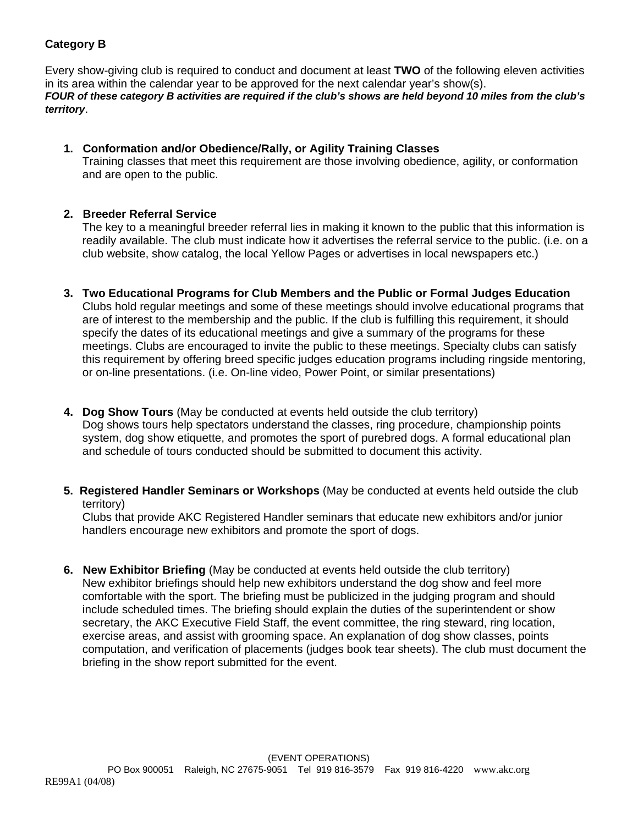## **Category B**

Every show-giving club is required to conduct and document at least **TWO** of the following eleven activities in its area within the calendar year to be approved for the next calendar year's show(s). *FOUR of these category B activities are required if the club's shows are held beyond 10 miles from the club's territory*.

#### **1. Conformation and/or Obedience/Rally, or Agility Training Classes**

Training classes that meet this requirement are those involving obedience, agility, or conformation and are open to the public.

#### **2. Breeder Referral Service**

The key to a meaningful breeder referral lies in making it known to the public that this information is readily available. The club must indicate how it advertises the referral service to the public. (i.e. on a club website, show catalog, the local Yellow Pages or advertises in local newspapers etc.)

- **3. Two Educational Programs for Club Members and the Public or Formal Judges Education** Clubs hold regular meetings and some of these meetings should involve educational programs that are of interest to the membership and the public. If the club is fulfilling this requirement, it should specify the dates of its educational meetings and give a summary of the programs for these meetings. Clubs are encouraged to invite the public to these meetings. Specialty clubs can satisfy this requirement by offering breed specific judges education programs including ringside mentoring, or on-line presentations. (i.e. On-line video, Power Point, or similar presentations)
- **4. Dog Show Tours** (May be conducted at events held outside the club territory) Dog shows tours help spectators understand the classes, ring procedure, championship points system, dog show etiquette, and promotes the sport of purebred dogs. A formal educational plan and schedule of tours conducted should be submitted to document this activity.
- **5. Registered Handler Seminars or Workshops** (May be conducted at events held outside the club territory)

Clubs that provide AKC Registered Handler seminars that educate new exhibitors and/or junior handlers encourage new exhibitors and promote the sport of dogs.

**6. New Exhibitor Briefing** (May be conducted at events held outside the club territory) New exhibitor briefings should help new exhibitors understand the dog show and feel more comfortable with the sport. The briefing must be publicized in the judging program and should include scheduled times. The briefing should explain the duties of the superintendent or show secretary, the AKC Executive Field Staff, the event committee, the ring steward, ring location, exercise areas, and assist with grooming space. An explanation of dog show classes, points computation, and verification of placements (judges book tear sheets). The club must document the briefing in the show report submitted for the event.